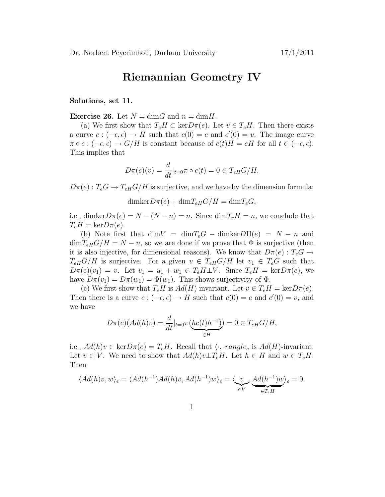## Riemannian Geometry IV

## Solutions, set 11.

**Exercise 26.** Let  $N = \dim G$  and  $n = \dim H$ .

(a) We first show that  $T_eH \subset \text{ker} D\pi(e)$ . Let  $v \in T_eH$ . Then there exists a curve  $c: (-\epsilon, \epsilon) \to H$  such that  $c(0) = e$  and  $c'(0) = v$ . The image curve  $\pi \circ c : (-\epsilon, \epsilon) \to G/H$  is constant because of  $c(t)H = eH$  for all  $t \in (-\epsilon, \epsilon)$ . This implies that

$$
D\pi(e)(v) = \frac{d}{dt}|_{t=0}\pi \circ c(t) = 0 \in T_{eH}G/H.
$$

 $D\pi(e): T_eG \to T_{eH}G/H$  is surjective, and we have by the dimension formula:

 $dim \text{ker} D\pi(e) + dim T_{eH}G/H = dim T_eG,$ 

i.e., dimker $D\pi(e) = N - (N - n) = n$ . Since  $\dim T_e H = n$ , we conclude that  $T_eH = \text{ker}D\pi(e).$ 

(b) Note first that  $\dim V = \dim T_eG - \dim \ker D\Pi(e) = N - n$  and  $\dim T_{\text{eff}} G/H = N - n$ , so we are done if we prove that  $\Phi$  is surjective (then it is also injective, for dimensional reasons). We know that  $D\pi(e)$ :  $T_eG \rightarrow$  $T_{eH}G/H$  is surjective. For a given  $v \in T_{eH}G/H$  let  $v_1 \in T_eG$  such that  $D\pi(e)(v_1) = v$ . Let  $v_1 = u_1 + w_1 \in T_e H \perp V$ . Since  $T_e H = \text{ker }D\pi(e)$ , we have  $D\pi(v_1) = D\pi(w_1) = \Phi(w_1)$ . This shows surjectivity of  $\Phi$ .

(c) We first show that  $T_eH$  is  $Ad(H)$  invariant. Let  $v \in T_eH = \text{ker}D\pi(e)$ . Then there is a curve  $c: (-\epsilon, \epsilon) \to H$  such that  $c(0) = e$  and  $c'(0) = v$ , and we have

$$
D\pi(e)(Ad(h)v) = \frac{d}{dt}|_{t=0} \pi(\underbrace{hc(t)h^{-1}}_{\in H}) = 0 \in T_{eH}G/H,
$$

i.e.,  $Ad(h)v \in \text{ker} D\pi(e) = T_eH$ . Recall that  $\langle \cdot, \cdot \text{range}_e \rangle$  is  $Ad(H)$ -invariant. Let  $v \in V$ . We need to show that  $Ad(h)v \perp T_e H$ . Let  $h \in H$  and  $w \in T_e H$ . Then

$$
\langle Ad(h)v, w \rangle_e = \langle Ad(h^{-1})Ad(h)v, Ad(h^{-1})w \rangle_e = \langle \underbrace{v}_{\in V}, \underbrace{Ad(h^{-1})w}_{\in T_eH} \rangle_e = 0.
$$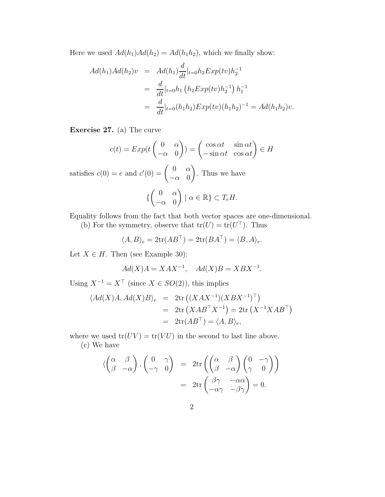Here we used  $Ad(h_1)Ad(h_2) = Ad(h_1h_2)$ , which we finally show:

$$
Ad(h_1)Ad(h_2)v = Ad(h_1)\frac{d}{dt}|_{t=0}h_2Exp(tv)h_2^{-1}
$$
  
= 
$$
\frac{d}{dt}|_{t=0}h_1(h_2Exp(tv)h_2^{-1})h_1^{-1}
$$
  
= 
$$
\frac{d}{dt}|_{t=0}(h_1h_2)Exp(tv)(h_1h_2)^{-1} = Ad(h_1h_2)v.
$$

Exercise 27. (a) The curve

$$
c(t) = Exp(t \begin{pmatrix} 0 & \alpha \\ -\alpha & 0 \end{pmatrix}) = \begin{pmatrix} \cos \alpha t & \sin \alpha t \\ -\sin \alpha t & \cos \alpha t \end{pmatrix} \in H
$$

satisfies  $c(0) = e$  and  $c'(0) = \begin{pmatrix} 0 & \alpha \\ 0 & 0 \end{pmatrix}$  $-\alpha$  0  $\setminus$ . Thus we have {  $\begin{pmatrix} 0 & \alpha \end{pmatrix}$  $-\alpha$  0  $| \alpha \in \mathbb{R} \} \subset T_e H$ .

Equality follows from the fact that both vector spaces are one-dimensional.

(b) For the symmetry, observe that  $tr(U) = tr(U^{\top})$ . Thus

$$
\langle A, B \rangle_e = 2 \text{tr}(AB^{\top}) = 2 \text{tr}(BA^{\top}) = \langle B, A \rangle_e.
$$

Let  $X \in H$ . Then (see Example 30):

$$
Ad(X)A = XAX^{-1}, \quad Ad(X)B = XBX^{-1}.
$$

Using  $X^{-1} = X^{\top}$  (since  $X \in SO(2)$ ), this implies

$$
\langle Ad(X)A, Ad(X)B \rangle_e = 2\text{tr}((XAX^{-1})(XBX^{-1})^\top)
$$
  
= 2\text{tr}(XAB^\top X^{-1}) = 2\text{tr}(X^{-1}XAB^\top)  
= 2\text{tr}(AB^\top) = \langle A, B \rangle\_e,

where we used  $tr(UV) = tr(VU)$  in the second to last line above. (c) We have

$$
\langle \begin{pmatrix} \alpha & \beta \\ \beta & -\alpha \end{pmatrix}, \begin{pmatrix} 0 & \gamma \\ -\gamma & 0 \end{pmatrix} = 2 \text{tr} \left( \begin{pmatrix} \alpha & \beta \\ \beta & -\alpha \end{pmatrix} \begin{pmatrix} 0 & -\gamma \\ \gamma & 0 \end{pmatrix} \right)
$$
  
= 2 \text{tr} \begin{pmatrix} \beta \gamma & -\alpha \alpha \\ -\alpha \gamma & -\beta \gamma \end{pmatrix} = 0.